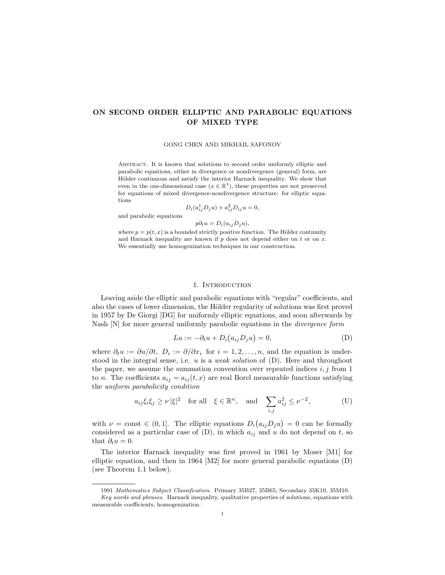# ON SECOND ORDER ELLIPTIC AND PARABOLIC EQUATIONS OF MIXED TYPE

## GONG CHEN AND MIKHAIL SAFONOV

ABSTRACT. It is known that solutions to second order uniformly elliptic and parabolic equations, either in divergence or nondivergence (general) form, are Hölder continuous and satisfy the interior Harnack inequality. We show that even in the one-dimensional case  $(x \in \mathbb{R}^1)$ , these properties are not preserved for equations of mixed divergence-nondivergence structure: for elliptic equations

$$
D_i(a_{ij}^1 D_j u) + a_{ij}^2 D_{ij} u = 0,
$$

and parabolic equations

$$
p\partial_t u = D_i(a_{ij}D_j u),
$$

where  $p = p(t, x)$  is a bounded strictly positive function. The Hölder continuity and Harnack inequality are known if  $p$  does not depend either on  $t$  or on  $x$ . We essentially use homogenization techniques in our construction.

## 1. Introduction

Leaving aside the elliptic and parabolic equations with "regular" coefficients, and also the cases of lower dimension, the Hölder regularity of solutions was first proved in 1957 by De Giorgi [DG] for uniformly elliptic equations, and soon afterwards by Nash [N] for more general uniformly parabolic equations in the *divergence form* 

$$
Lu := -\partial_t u + D_i(a_{ij}D_j u) = 0,
$$
 (D)

where  $\partial_t u := \partial u / \partial t$ ,  $D_i := \partial / \partial x_i$  for  $i = 1, 2, ..., n$ , and the equation is understood in the integral sense, i.e. u is a *weak solution* of (D). Here and throughout the paper, we assume the summation convention over repeated indices  $i, j$  from 1 to *n*. The coefficients  $a_{ij} = a_{ij}(t, x)$  are real Borel measurable functions satisfying the uniform parabolicity condition

$$
a_{ij}\xi_i\xi_j \ge \nu |\xi|^2
$$
 for all  $\xi \in \mathbb{R}^n$ , and  $\sum_{i,j} a_{ij}^2 \le \nu^{-2}$ , (U)

with  $\nu = \text{const} \in (0, 1]$ . The elliptic equations  $D_i$ ¡  $a_{ij}D_ju$ ¢  $= 0$  can be formally considered as a particular case of  $(D)$ , in which  $a_{ij}$  and u do not depend on t, so that  $\partial_t u = 0$ .

The interior Harnack inequality was first proved in 1961 by Moser [M1] for elliptic equation, and then in 1964 [M2] for more general parabolic equations (D) (see Theorem 1.1 below).

<sup>1991</sup> Mathematics Subject Classification. Primary 35B27, 35B65; Secondary 35K10, 35M10. Key words and phrases. Harnack inequality, qualitative properties of solutions, equations with measurable coefficients, homogenization.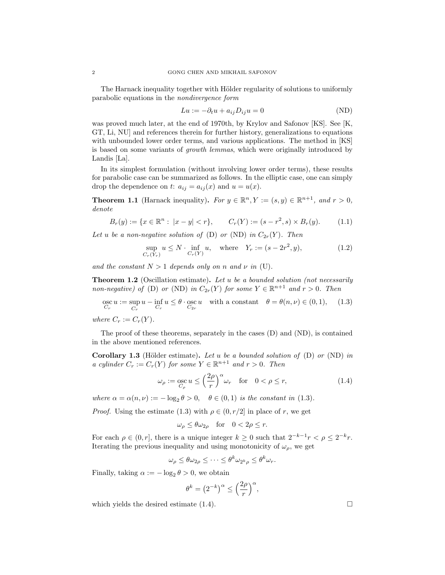The Harnack inequality together with Hölder regularity of solutions to uniformly parabolic equations in the nondivergence form

$$
Lu := -\partial_t u + a_{ij} D_{ij} u = 0 \tag{ND}
$$

was proved much later, at the end of 1970th, by Krylov and Safonov [KS]. See [K, GT, Li, NU] and references therein for further history, generalizations to equations with unbounded lower order terms, and various applications. The method in [KS] is based on some variants of growth lemmas, which were originally introduced by Landis [La].

In its simplest formulation (without involving lower order terms), these results for parabolic case can be summarized as follows. In the elliptic case, one can simply drop the dependence on t:  $a_{ij} = a_{ij}(x)$  and  $u = u(x)$ .

**Theorem 1.1** (Harnack inequality). For  $y \in \mathbb{R}^n$ ,  $Y := (s, y) \in \mathbb{R}^{n+1}$ , and  $r > 0$ , denote

$$
B_r(y) := \{ x \in \mathbb{R}^n : |x - y| < r \}, \qquad C_r(Y) := (s - r^2, s) \times B_r(y). \tag{1.1}
$$

Let u be a non-negative solution of (D) or (ND) in  $C_{2r}(Y)$ . Then

$$
\sup_{C_r(Y_r)} u \le N \cdot \inf_{C_r(Y)} u, \quad \text{where} \quad Y_r := (s - 2r^2, y), \tag{1.2}
$$

and the constant  $N > 1$  depends only on n and  $\nu$  in (U).

**Theorem 1.2** (Oscillation estimate). Let u be a bounded solution (not necessarily non-negative) of (D) or (ND) in  $C_{2r}(Y)$  for some  $Y \in \mathbb{R}^{n+1}$  and  $r > 0$ . Then

 $\operatorname*{osc}_{C_r} u := \sup_{C_r}$  $C_r$  $u - \inf_{C_r} u \leq \theta \cdot \operatorname*{osc}_{C_{2r}} u$  with a constant  $\theta = \theta(n, \nu) \in (0, 1),$  (1.3)

where  $C_r := C_r(Y)$ .

The proof of these theorems, separately in the cases (D) and (ND), is contained in the above mentioned references.

**Corollary 1.3** (Hölder estimate). Let u be a bounded solution of  $(D)$  or  $(ND)$  in a cylinder  $C_r := C_r(Y)$  for some  $Y \in \mathbb{R}^{n+1}$  and  $r > 0$ . Then

$$
\omega_{\rho} := \underset{C_{\rho}}{\mathrm{osc}} u \le \left(\frac{2\rho}{r}\right)^{\alpha} \omega_r \quad \text{for} \quad 0 < \rho \le r,\tag{1.4}
$$

where  $\alpha = \alpha(n, \nu) := -\log_2 \theta > 0$ ,  $\theta \in (0, 1)$  is the constant in (1.3).

*Proof.* Using the estimate (1.3) with  $\rho \in (0, r/2]$  in place of r, we get

$$
\omega_{\rho} \le \theta \omega_{2\rho} \quad \text{for} \quad 0 < 2\rho \le r.
$$

For each  $\rho \in (0, r]$ , there is a unique integer  $k \geq 0$  such that  $2^{-k-1}r < \rho \leq 2^{-k}r$ . Iterating the previous inequality and using monotonicity of  $\omega_{\rho}$ , we get

$$
\omega_{\rho} \le \theta \omega_{2\rho} \le \cdots \le \theta^k \omega_{2^k \rho} \le \theta^k \omega_r.
$$

Finally, taking  $\alpha := -\log_2 \theta > 0$ , we obtain

$$
\theta^k = \left(2^{-k}\right)^{\alpha} \le \left(\frac{2\rho}{r}\right)^{\alpha},
$$

which yields the desired estimate  $(1.4)$ .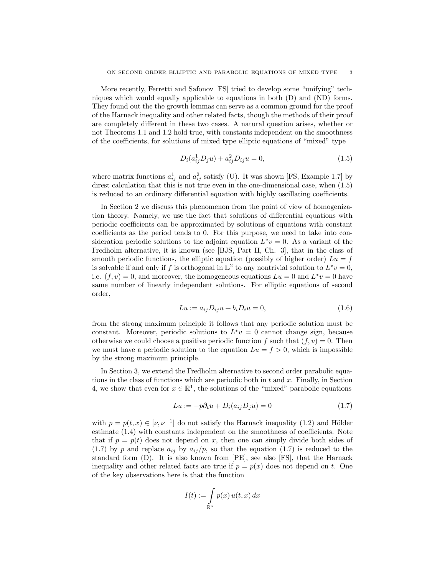More recently, Ferretti and Safonov [FS] tried to develop some "unifying" techniques which would equally applicable to equations in both (D) and (ND) forms. They found out the the growth lemmas can serve as a common ground for the proof of the Harnack inequality and other related facts, though the methods of their proof are completely different in these two cases. A natural question arises, whether or not Theorems 1.1 and 1.2 hold true, with constants independent on the smoothness of the coefficients, for solutions of mixed type elliptic equations of "mixed" type

$$
D_i(a_{ij}^1 D_j u) + a_{ij}^2 D_{ij} u = 0,
$$
\n(1.5)

where matrix functions  $a_{ij}^1$  and  $a_{ij}^2$  satisfy (U). It was shown [FS, Example 1.7] by direst calculation that this is not true even in the one-dimensional case, when (1.5) is reduced to an ordinary differential equation with highly oscillating coefficients.

In Section 2 we discuss this phenomenon from the point of view of homogenization theory. Namely, we use the fact that solutions of differential equations with periodic coefficients can be approximated by solutions of equations with constant coefficients as the period tends to 0. For this purpose, we need to take into consideration periodic solutions to the adjoint equation  $L^*v = 0$ . As a variant of the Fredholm alternative, it is known (see [BJS, Part II, Ch. 3], that in the class of smooth periodic functions, the elliptic equation (possibly of higher order)  $Lu = f$ is solvable if and only if f is orthogonal in  $\mathbb{L}^2$  to any nontrivial solution to  $L^*v = 0$ , i.e.  $(f, v) = 0$ , and moreover, the homogeneous equations  $Lu = 0$  and  $L^*v = 0$  have same number of linearly independent solutions. For elliptic equations of second order,

$$
Lu := a_{ij}D_{ij}u + b_iD_iu = 0,
$$
\n
$$
(1.6)
$$

from the strong maximum principle it follows that any periodic solution must be constant. Moreover, periodic solutions to  $L^*v = 0$  cannot change sign, because otherwise we could choose a positive periodic function f such that  $(f, v) = 0$ . Then we must have a periodic solution to the equation  $Lu = f > 0$ , which is impossible by the strong maximum principle.

In Section 3, we extend the Fredholm alternative to second order parabolic equations in the class of functions which are periodic both in  $t$  and  $x$ . Finally, in Section 4, we show that even for  $x \in \mathbb{R}^1$ , the solutions of the "mixed" parabolic equations

$$
Lu := -p\partial_t u + D_i(a_{ij}D_j u) = 0\tag{1.7}
$$

with  $p = p(t, x) \in [\nu, \nu^{-1}]$  do not satisfy the Harnack inequality (1.2) and Hölder estimate (1.4) with constants independent on the smoothness of coefficients. Note that if  $p = p(t)$  does not depend on x, then one can simply divide both sides of (1.7) by p and replace  $a_{ij}$  by  $a_{ij}/p$ , so that the equation (1.7) is reduced to the standard form (D). It is also known from [PE], see also [FS], that the Harnack inequality and other related facts are true if  $p = p(x)$  does not depend on t. One of the key observations here is that the function

$$
I(t) := \int_{\mathbb{R}^n} p(x) u(t, x) dx
$$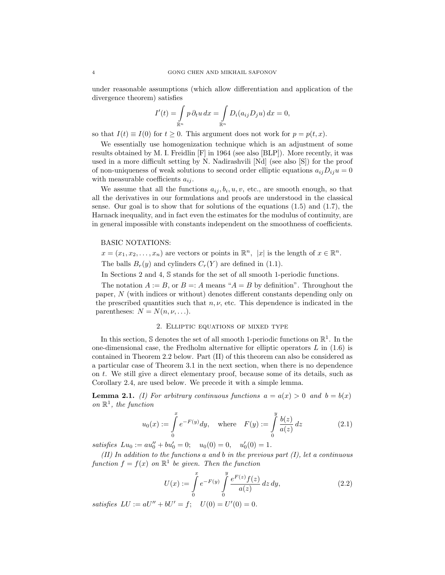under reasonable assumptions (which allow differentiation and application of the divergence theorem) satisfies

$$
I'(t) = \int_{\mathbb{R}^n} p \, \partial_t u \, dx = \int_{\mathbb{R}^n} D_i(a_{ij} D_j u) \, dx = 0,
$$

so that  $I(t) \equiv I(0)$  for  $t \geq 0$ . This argument does not work for  $p = p(t, x)$ .

We essentially use homogenization technique which is an adjustment of some results obtained by M. I. Freidlin [F] in 1964 (see also [BLP]). More recently, it was used in a more difficult setting by N. Nadirashvili [Nd] (see also [S]) for the proof of non-uniqueness of weak solutions to second order elliptic equations  $a_{ij}D_{ij}u = 0$ with measurable coefficients  $a_{ij}$ .

We assume that all the functions  $a_{ij}, b_i, u, v$ , etc., are smooth enough, so that all the derivatives in our formulations and proofs are understood in the classical sense. Our goal is to show that for solutions of the equations  $(1.5)$  and  $(1.7)$ , the Harnack inequality, and in fact even the estimates for the modulus of continuity, are in general impossible with constants independent on the smoothness of coefficients.

## BASIC NOTATIONS:

 $x = (x_1, x_2, \dots, x_n)$  are vectors or points in  $\mathbb{R}^n$ ,  $|x|$  is the length of  $x \in \mathbb{R}^n$ .

The balls  $B_r(y)$  and cylinders  $C_r(Y)$  are defined in (1.1).

In Sections 2 and 4, S stands for the set of all smooth 1-periodic functions.

The notation  $A := B$ , or  $B = A$  means " $A = B$  by definition". Throughout the paper, N (with indices or without) denotes different constants depending only on the prescribed quantities such that  $n, \nu$ , etc. This dependence is indicated in the parentheses:  $N = N(n, \nu, \ldots)$ .

# 2. Elliptic equations of mixed type

In this section,  $\mathbb S$  denotes the set of all smooth 1-periodic functions on  $\mathbb R^1$ . In the one-dimensional case, the Fredholm alternative for elliptic operators  $L$  in  $(1.6)$  is contained in Theorem 2.2 below. Part (II) of this theorem can also be considered as a particular case of Theorem 3.1 in the next section, when there is no dependence on t. We still give a direct elementary proof, because some of its details, such as Corollary 2.4, are used below. We precede it with a simple lemma.

**Lemma 2.1.** (I) For arbitrary continuous functions  $a = a(x) > 0$  and  $b = b(x)$ on  $\mathbb{R}^1$ , the function

$$
u_0(x) := \int_{0}^{x} e^{-F(y)} dy, \text{ where } F(y) := \int_{0}^{y} \frac{b(z)}{a(z)} dz
$$
 (2.1)

satisfies  $Lu_0 := au_0'' + bu_0' = 0; \quad u_0(0) = 0, \quad u_0'(0) = 1.$ 

 $(II)$  In addition to the functions a and b in the previous part  $(I)$ , let a continuous function  $f = f(x)$  on  $\mathbb{R}^1$  be given. Then the function

$$
U(x) := \int_{0}^{x} e^{-F(y)} \int_{0}^{y} \frac{e^{F(z)} f(z)}{a(z)} dz dy,
$$
 (2.2)

satisfies  $LU := aU'' + bU' = f$ ;  $U(0) = U'(0) = 0$ .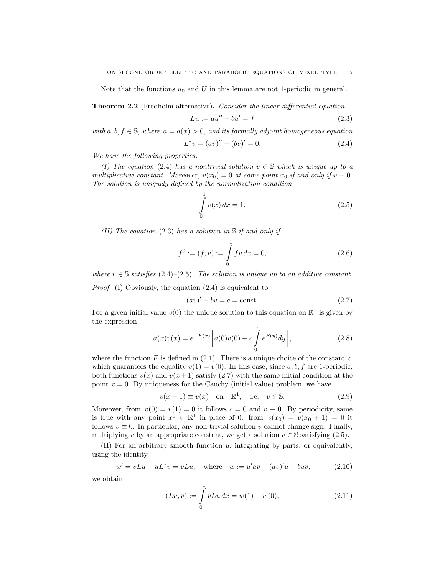Note that the functions  $u_0$  and U in this lemma are not 1-periodic in general.

Theorem 2.2 (Fredholm alternative). Consider the linear differential equation

$$
Lu := au'' + bu' = f \tag{2.3}
$$

with  $a, b, f \in \mathbb{S}$ , where  $a = a(x) > 0$ , and its formally adjoint homogeneous equation

$$
L^*v = (av)'' - (bv)' = 0.
$$
\n(2.4)

We have the following properties.

(I) The equation (2.4) has a nontrivial solution  $v \in \mathbb{S}$  which is unique up to a multiplicative constant. Moreover,  $v(x_0) = 0$  at some point  $x_0$  if and only if  $v \equiv 0$ . The solution is uniquely defined by the normalization condition

$$
\int_{0}^{1} v(x) dx = 1.
$$
\n(2.5)

(II) The equation (2.3) has a solution in  $\mathcal S$  if and only if

$$
f^{0} := (f, v) := \int_{0}^{1} fv \, dx = 0,
$$
\n(2.6)

where  $v \in \mathbb{S}$  satisfies (2.4)–(2.5). The solution is unique up to an additive constant.

Proof. (I) Obviously, the equation (2.4) is equivalent to

$$
(av)' + bv = c = \text{const.}
$$
\n
$$
(2.7)
$$

For a given initial value  $v(0)$  the unique solution to this equation on  $\mathbb{R}^1$  is given by the expression

$$
a(x)v(x) = e^{-F(x)} \left[ a(0)v(0) + c \int_{0}^{x} e^{F(y)} dy \right],
$$
\n(2.8)

where the function F is defined in  $(2.1)$ . There is a unique choice of the constant c which guarantees the equality  $v(1) = v(0)$ . In this case, since a, b, f are 1-periodic, both functions  $v(x)$  and  $v(x+1)$  satisfy (2.7) with the same initial condition at the point  $x = 0$ . By uniqueness for the Cauchy (initial value) problem, we have

$$
v(x+1) \equiv v(x) \quad \text{on} \quad \mathbb{R}^1, \quad \text{i.e.} \quad v \in \mathbb{S}.\tag{2.9}
$$

Moreover, from  $v(0) = v(1) = 0$  it follows  $c = 0$  and  $v \equiv 0$ . By periodicity, same is true with any point  $x_0 \in \mathbb{R}^1$  in place of 0: from  $v(x_0) = v(x_0 + 1) = 0$  it follows  $v \equiv 0$ . In particular, any non-trivial solution v cannot change sign. Finally, multiplying v by an appropriate constant, we get a solution  $v \in \mathbb{S}$  satisfying (2.5).

(II) For an arbitrary smooth function u, integrating by parts, or equivalently, using the identity

$$
w' = vLu - uL^*v = vLu, \quad \text{where} \quad w := u'av - (av)'u + bw,\tag{2.10}
$$

we obtain

$$
(Lu, v) := \int_{0}^{1} vLu \, dx = w(1) - w(0). \tag{2.11}
$$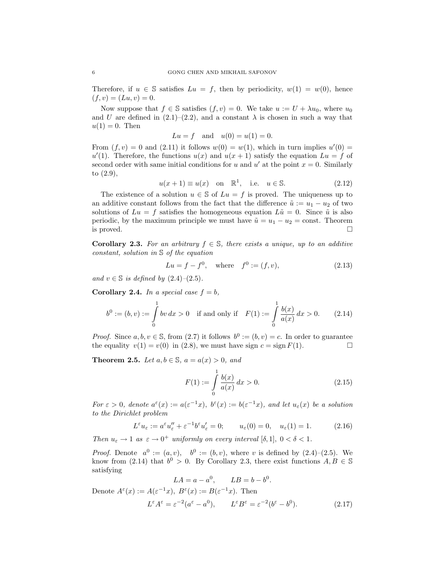Therefore, if  $u \in \mathbb{S}$  satisfies  $Lu = f$ , then by periodicity,  $w(1) = w(0)$ , hence  $(f, v) = (Lu, v) = 0.$ 

Now suppose that  $f \in \mathbb{S}$  satisfies  $(f, v) = 0$ . We take  $u := U + \lambda u_0$ , where  $u_0$ and U are defined in  $(2.1)$ – $(2.2)$ , and a constant  $\lambda$  is chosen in such a way that  $u(1) = 0$ . Then

$$
Lu = f
$$
 and  $u(0) = u(1) = 0$ .

From  $(f, v) = 0$  and  $(2.11)$  it follows  $w(0) = w(1)$ , which in turn implies  $u'(0) =$  $u'(1)$ . Therefore, the functions  $u(x)$  and  $u(x + 1)$  satisfy the equation  $Lu = f$  of second order with same initial conditions for u and u' at the point  $x = 0$ . Similarly to (2.9),

$$
u(x+1) \equiv u(x) \quad \text{on} \quad \mathbb{R}^1, \quad \text{i.e.} \quad u \in \mathbb{S}. \tag{2.12}
$$

The existence of a solution  $u \in \mathbb{S}$  of  $Lu = f$  is proved. The uniqueness up to an additive constant follows from the fact that the difference  $\tilde{u} := u_1 - u_2$  of two solutions of  $Lu = f$  satisfies the homogeneous equation  $L\tilde{u} = 0$ . Since  $\tilde{u}$  is also periodic, by the maximum principle we must have  $\tilde{u} = u_1 - u_2 = \text{const.}$  Theorem is proved.  $\Box$ 

Corollary 2.3. For an arbitrary  $f \in \mathbb{S}$ , there exists a unique, up to an additive constant, solution in S of the equation

$$
Lu = f - f^0
$$
, where  $f^0 := (f, v)$ , (2.13)

and  $v \in \mathbb{S}$  is defined by  $(2.4)$ – $(2.5)$ .

Corollary 2.4. In a special case  $f = b$ ,

$$
b^{0} := (b, v) := \int_{0}^{1} bv \, dx > 0 \quad \text{if and only if} \quad F(1) := \int_{0}^{1} \frac{b(x)}{a(x)} \, dx > 0. \tag{2.14}
$$

*Proof.* Since  $a, b, v \in \mathbb{S}$ , from (2.7) it follows  $b^0 := (b, v) = c$ . In order to guarantee the equality  $v(1) = v(0)$  in (2.8), we must have sign  $c = \text{sign } F(1)$ .

**Theorem 2.5.** Let  $a, b \in \mathbb{S}$ ,  $a = a(x) > 0$ , and

$$
F(1) := \int_{0}^{1} \frac{b(x)}{a(x)} dx > 0.
$$
 (2.15)

For  $\varepsilon > 0$ , denote  $a^{\varepsilon}(x) := a(\varepsilon^{-1}x)$ ,  $b^{\varepsilon}(x) := b(\varepsilon^{-1}x)$ , and let  $u_{\varepsilon}(x)$  be a solution to the Dirichlet problem

$$
L^{\varepsilon}u_{\varepsilon} := a^{\varepsilon}u''_{\varepsilon} + \varepsilon^{-1}b^{\varepsilon}u'_{\varepsilon} = 0; \qquad u_{\varepsilon}(0) = 0, \quad u_{\varepsilon}(1) = 1. \tag{2.16}
$$

Then  $u_{\varepsilon} \to 1$  as  $\varepsilon \to 0^+$  uniformly on every interval  $[\delta, 1], 0 < \delta < 1$ .

*Proof.* Denote  $a^0 := (a, v)$ ,  $b^0 := (b, v)$ , where v is defined by  $(2.4)$ – $(2.5)$ . We know from (2.14) that  $b^0 > 0$ . By Corollary 2.3, there exist functions  $A, B \in \mathbb{S}$ satisfying

$$
LA = a - a^0, \qquad LB = b - b^0.
$$

Denote  $A^{\varepsilon}(x) := A(\varepsilon^{-1}x), B^{\varepsilon}(x) := B(\varepsilon^{-1}x)$ . Then

$$
L^{\varepsilon}A^{\varepsilon} = \varepsilon^{-2}(a^{\varepsilon} - a^0), \qquad L^{\varepsilon}B^{\varepsilon} = \varepsilon^{-2}(b^{\varepsilon} - b^0). \tag{2.17}
$$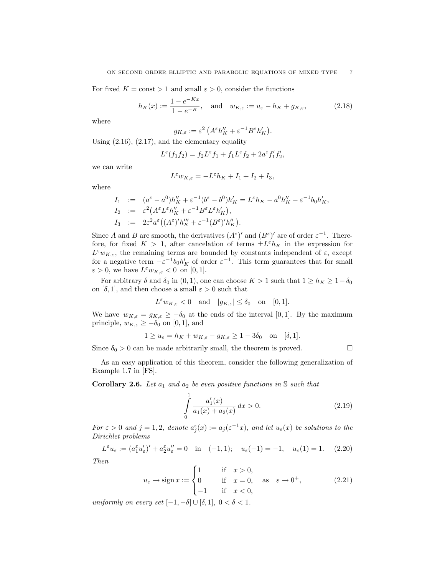For fixed  $K = \text{const} > 1$  and small  $\varepsilon > 0$ , consider the functions

$$
h_K(x) := \frac{1 - e^{-Kx}}{1 - e^{-K}}, \quad \text{and} \quad w_{K,\varepsilon} := u_{\varepsilon} - h_K + g_{K,\varepsilon}, \tag{2.18}
$$

where

$$
g_{K,\varepsilon} := \varepsilon^2 \left( A^\varepsilon h_K'' + \varepsilon^{-1} B^\varepsilon h_K' \right).
$$

Using  $(2.16)$ ,  $(2.17)$ , and the elementary equality

$$
L^{\varepsilon}(f_1f_2) = f_2L^{\varepsilon}f_1 + f_1L^{\varepsilon}f_2 + 2a^{\varepsilon}f'_1f'_2,
$$

we can write

$$
L^{\varepsilon} w_{K,\varepsilon} = -L^{\varepsilon} h_K + I_1 + I_2 + I_3,
$$

where

$$
I_1 := (a^{\varepsilon} - a^0)h''_K + \varepsilon^{-1}(b^{\varepsilon} - b^0)h'_K = L^{\varepsilon}h_K - a^0h''_K - \varepsilon^{-1}b_0h'_K,
$$
  
\n
$$
I_2 := \varepsilon^2 (A^{\varepsilon}L^{\varepsilon}h''_K + \varepsilon^{-1}B^{\varepsilon}L^{\varepsilon}h'_K),
$$
  
\n
$$
I_3 := 2\varepsilon^2 a^{\varepsilon} ((A^{\varepsilon})'h''_K + \varepsilon^{-1}(B^{\varepsilon})'h''_K).
$$

Since A and B are smooth, the derivatives  $(A^{\varepsilon})'$  and  $(B^{\varepsilon})'$  are of order  $\varepsilon^{-1}$ . Therefore, for fixed  $K > 1$ , after cancelation of terms  $\pm L^{\varepsilon} h_K$  in the expression for  $L^{\varepsilon}w_{K,\varepsilon}$ , the remaining terms are bounded by constants independent of  $\varepsilon$ , except for a negative term  $-\varepsilon^{-1}b_0h'_K$  of order  $\varepsilon^{-1}$ . This term guarantees that for small  $\varepsilon > 0$ , we have  $L^{\varepsilon} w_{K,\varepsilon} < 0$  on [0, 1].

For arbitrary  $\delta$  and  $\delta_0$  in  $(0, 1)$ , one can choose  $K > 1$  such that  $1 \ge h_K \ge 1 - \delta_0$ on  $[\delta, 1]$ , and then choose a small  $\varepsilon > 0$  such that

$$
L^{\varepsilon} w_{K,\varepsilon} < 0
$$
 and  $|g_{K,\varepsilon}| \leq \delta_0$  on [0,1].

We have  $w_{K,\varepsilon} = g_{K,\varepsilon} \geq -\delta_0$  at the ends of the interval [0, 1]. By the maximum principle,  $w_{K,\varepsilon} \geq -\delta_0$  on [0, 1], and

$$
1 \ge u_{\varepsilon} = h_K + w_{K,\varepsilon} - g_{K,\varepsilon} \ge 1 - 3\delta_0 \quad \text{on} \quad [\delta, 1].
$$

Since  $\delta_0 > 0$  can be made arbitrarily small, the theorem is proved.  $\Box$ 

As an easy application of this theorem, consider the following generalization of Example 1.7 in [FS].

**Corollary 2.6.** Let  $a_1$  and  $a_2$  be even positive functions in S such that

$$
\int_{0}^{1} \frac{a_1'(x)}{a_1(x) + a_2(x)} dx > 0.
$$
\n(2.19)

For  $\varepsilon > 0$  and  $j = 1, 2$ , denote  $a_j^{\varepsilon}(x) := a_j(\varepsilon^{-1}x)$ , and let  $u_{\varepsilon}(x)$  be solutions to the Dirichlet problems

$$
L^{\varepsilon}u_{\varepsilon} := (a_1^{\varepsilon}u'_{\varepsilon})' + a_2^{\varepsilon}u''_{\varepsilon} = 0 \quad \text{in} \quad (-1,1); \quad u_{\varepsilon}(-1) = -1, \quad u_{\varepsilon}(1) = 1. \tag{2.20}
$$

Then

$$
u_{\varepsilon} \to \operatorname{sign} x := \begin{cases} 1 & \text{if } x > 0, \\ 0 & \text{if } x = 0, \text{ as } \varepsilon \to 0^+, \\ -1 & \text{if } x < 0, \end{cases} \tag{2.21}
$$

uniformly on every set  $[-1, -\delta] \cup [\delta, 1], 0 < \delta < 1.$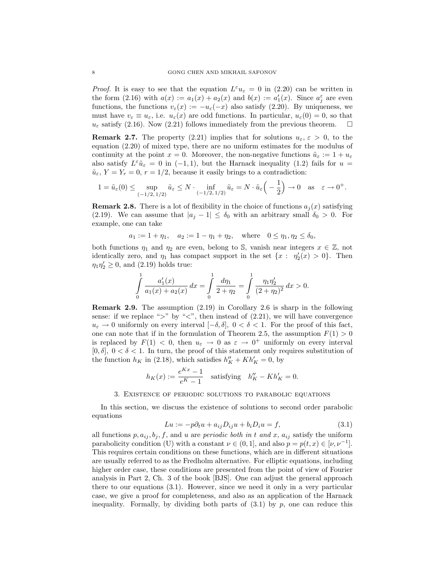*Proof.* It is easy to see that the equation  $L^{\varepsilon}u_{\varepsilon} = 0$  in (2.20) can be written in the form  $(2.16)$  with  $a(x) := a_1(x) + a_2(x)$  and  $b(x) := a'_1(x)$ . Since  $a_j^{\varepsilon}$  are even functions, the functions  $v_{\varepsilon}(x) := -u_{\varepsilon}(-x)$  also satisfy (2.20). By uniqueness, we must have  $v_{\varepsilon} \equiv u_{\varepsilon}$ , i.e.  $u_{\varepsilon}(x)$  are odd functions. In particular,  $u_{\varepsilon}(0) = 0$ , so that  $u_{\varepsilon}$  satisfy (2.16). Now (2.21) follows immediately from the previous theorem.  $\Box$ 

**Remark 2.7.** The property (2.21) implies that for solutions  $u_{\varepsilon}, \varepsilon > 0$ , to the equation (2.20) of mixed type, there are no uniform estimates for the modulus of continuity at the point  $x = 0$ . Moreover, the non-negative functions  $\tilde{u}_{\varepsilon} := 1 + u_{\varepsilon}$ also satisfy  $L^{\varepsilon} \tilde{u}_{\varepsilon} = 0$  in (-1,1), but the Harnack inequality (1.2) fails for  $u =$  $\tilde{u}_{\varepsilon}$ ,  $Y = Y_r = 0$ ,  $r = 1/2$ , because it easily brings to a contradiction:

$$
1 = \tilde{u}_{\varepsilon}(0) \leq \sup_{(-1/2, 1/2)} \tilde{u}_{\varepsilon} \leq N \cdot \inf_{(-1/2, 1/2)} \tilde{u}_{\varepsilon} = N \cdot \tilde{u}_{\varepsilon}\left(-\frac{1}{2}\right) \to 0 \quad \text{as} \quad \varepsilon \to 0^{+}.
$$

**Remark 2.8.** There is a lot of flexibility in the choice of functions  $a_i(x)$  satisfying (2.19). We can assume that  $|a_j - 1| \leq \delta_0$  with an arbitrary small  $\delta_0 > 0$ . For example, one can take

$$
a_1 := 1 + \eta_1
$$
,  $a_2 := 1 - \eta_1 + \eta_2$ , where  $0 \le \eta_1, \eta_2 \le \delta_0$ ,

both functions  $\eta_1$  and  $\eta_2$  are even, belong to S, vanish near integers  $x \in \mathbb{Z}$ , not identically zero, and  $\eta_1$  has compact support in the set  $\{x : \eta'_2(x) > 0\}$ . Then  $\eta_1 \eta_2' \geq 0$ , and (2.19) holds true:

$$
\int_{0}^{1} \frac{a_1'(x)}{a_1(x) + a_2(x)} dx = \int_{0}^{1} \frac{d\eta_1}{2 + \eta_2} = \int_{0}^{1} \frac{\eta_1 \eta_2'}{(2 + \eta_2)^2} dx > 0.
$$

Remark 2.9. The assumption (2.19) in Corollary 2.6 is sharp in the following sense: if we replace " $>$ " by " $\lt$ ", then instead of (2.21), we will have convergence  $u_{\varepsilon} \to 0$  uniformly on every interval  $[-\delta, \delta], 0 < \delta < 1$ . For the proof of this fact, one can note that if in the formulation of Theorem 2.5, the assumption  $F(1) > 0$ is replaced by  $F(1) < 0$ , then  $u_{\varepsilon} \to 0$  as  $\varepsilon \to 0^+$  uniformly on every interval [0,  $\delta$ ],  $0 < \delta < 1$ . In turn, the proof of this statement only requires substitution of the function  $h_K$  in (2.18), which satisfies  $h''_K + Kh'_K = 0$ , by

$$
h_K(x) := \frac{e^{Kx} - 1}{e^K - 1}
$$
 satisfying  $h''_K - Kh'_K = 0.$ 

#### 3. Existence of periodic solutions to parabolic equations

In this section, we discuss the existence of solutions to second order parabolic equations

$$
Lu := -p\partial_t u + a_{ij}D_{ij}u + b_iD_i u = f,\tag{3.1}
$$

all functions  $p, a_{ij}, b_j, f$ , and u are *periodic both in t and x*,  $a_{ij}$  satisfy the uniform parabolicity condition (U) with a constant  $\nu \in (0, 1]$ , and also  $p = p(t, x) \in [\nu, \nu^{-1}]$ . This requires certain conditions on these functions, which are in different situations are usually referred to as the Fredholm alternative. For elliptic equations, including higher order case, these conditions are presented from the point of view of Fourier analysis in Part 2, Ch. 3 of the book [BJS]. One can adjust the general approach there to our equations (3.1). However, since we need it only in a very particular case, we give a proof for completeness, and also as an application of the Harnack inequality. Formally, by dividing both parts of  $(3.1)$  by p, one can reduce this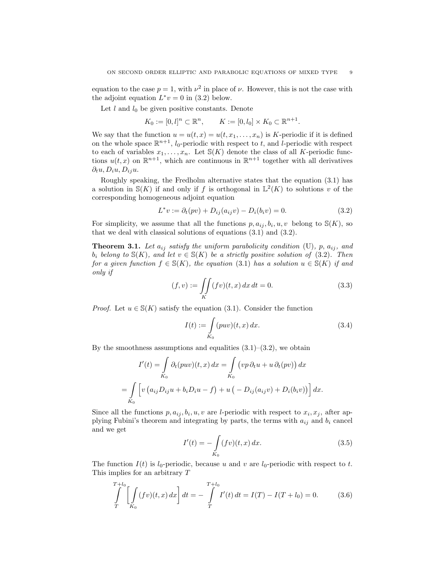equation to the case  $p = 1$ , with  $\nu^2$  in place of  $\nu$ . However, this is not the case with the adjoint equation  $L^*v = 0$  in (3.2) below.

Let  $l$  and  $l_0$  be given positive constants. Denote

$$
K_0 := [0, l]^n \subset \mathbb{R}^n
$$
,  $K := [0, l_0] \times K_0 \subset \mathbb{R}^{n+1}$ .

We say that the function  $u = u(t, x) = u(t, x_1, \dots, x_n)$  is K-periodic if it is defined on the whole space  $\mathbb{R}^{n+1}$ , *l*<sub>0</sub>-periodic with respect to *t*, and *l*-periodic with respect to each of variables  $x_1, \ldots, x_n$ . Let  $\mathcal{S}(K)$  denote the class of all K-periodic functions  $u(t, x)$  on  $\mathbb{R}^{n+1}$ , which are continuous in  $\mathbb{R}^{n+1}$  together with all derivatives  $\partial_t u, D_i u, D_{ij} u.$ 

Roughly speaking, the Fredholm alternative states that the equation (3.1) has a solution in  $\mathbb{S}(K)$  if and only if f is orthogonal in  $\mathbb{L}^2(K)$  to solutions v of the corresponding homogeneous adjoint equation

$$
L^*v := \partial_t(pv) + D_{ij}(a_{ij}v) - D_i(b_iv) = 0.
$$
\n(3.2)

For simplicity, we assume that all the functions  $p, a_{ij}, b_i, u, v$  belong to  $\mathcal{S}(K)$ , so that we deal with classical solutions of equations (3.1) and (3.2).

**Theorem 3.1.** Let  $a_{ij}$  satisfy the uniform parabolicity condition (U), p,  $a_{ij}$ , and  $b_i$  belong to  $\mathcal{S}(K)$ , and let  $v \in \mathcal{S}(K)$  be a strictly positive solution of (3.2). Then for a given function  $f \in \mathcal{S}(K)$ , the equation (3.1) has a solution  $u \in \mathcal{S}(K)$  if and only if

$$
(f, v) := \iint\limits_K (fv)(t, x) \, dx \, dt = 0. \tag{3.3}
$$

*Proof.* Let  $u \in S(K)$  satisfy the equation (3.1). Consider the function

$$
I(t) := \int_{K_0} (puv)(t, x) dx.
$$
 (3.4)

By the smoothness assumptions and equalities  $(3.1)$ – $(3.2)$ , we obtain

$$
I'(t) = \int_{K_0} \partial_t (puv)(t, x) dx = \int_{K_0} (vp \partial_t u + u \partial_t (pv)) dx
$$
  
= 
$$
\int_{K_0} \left[ v (a_{ij} D_{ij} u + b_i D_i u - f) + u (-D_{ij} (a_{ij} v) + D_i (b_i v)) \right] dx.
$$

Since all the functions  $p, a_{ij}, b_i, u, v$  are *l*-periodic with respect to  $x_i, x_j$ , after applying Fubini's theorem and integrating by parts, the terms with  $a_{ij}$  and  $b_i$  cancel and we get

$$
I'(t) = -\int_{K_0} (fv)(t, x) dx.
$$
 (3.5)

The function  $I(t)$  is  $l_0$ -periodic, because u and v are  $l_0$ -periodic with respect to t. This implies for an arbitrary T

$$
\int_{T}^{T+l_0} \left[ \int_{K_0} (fv)(t, x) dx \right] dt = - \int_{T}^{T+l_0} I'(t) dt = I(T) - I(T + l_0) = 0.
$$
 (3.6)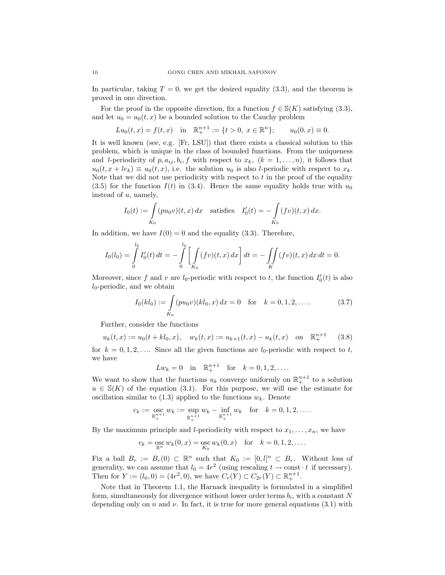In particular, taking  $T = 0$ , we get the desired equality (3.3), and the theorem is proved in one direction.

For the proof in the opposite direction, fix a function  $f \in \mathcal{S}(K)$  satisfying (3.3), and let  $u_0 = u_0(t, x)$  be a bounded solution to the Cauchy problem

$$
Lu_0(t, x) = f(t, x)
$$
 in  $\mathbb{R}^{n+1}_+ := \{t > 0, x \in \mathbb{R}^n\}; \quad u_0(0, x) \equiv 0.$ 

It is well known (see, e.g. [Fr, LSU]) that there exists a classical solution to this problem, which is unique in the class of bounded functions. From the uniqueness and *l*-periodicity of  $p, a_{ij}, b_i, f$  with respect to  $x_k$ ,  $(k = 1, \ldots, n)$ , it follows that  $u_0(t, x + le_k) \equiv u_0(t, x)$ , i.e. the solution  $u_0$  is also l-periodic with respect to  $x_k$ . Note that we did not use periodicity with respect to  $t$  in the proof of the equality (3.5) for the function  $I(t)$  in (3.4). Hence the same equality holds true with  $u_0$ instead of u, namely,

$$
I_0(t) := \int_{K_0}^{\infty} (pu_0 v)(t, x) dx
$$
 satisfies  $I'_0(t) = -\int_{K_0}^{\infty} (fv)(t, x) dx$ .

In addition, we have  $I(0) = 0$  and the equality (3.3). Therefore,

$$
I_0(l_0) = \int_0^{l_0} I'_0(t) dt = - \int_0^{l_0} \left[ \int_{K_0} (fv)(t, x) dx \right] dt = - \iint_K (fv)(t, x) dx dt = 0.
$$

Moreover, since f and v are  $l_0$ -periodic with respect to t, the function  $I'_0(t)$  is also  $l_0$ -periodic, and we obtain

$$
I_0(kl_0) := \int_{K_0} (pu_0 v)(kl_0, x) dx = 0 \quad \text{for} \quad k = 0, 1, 2, \dots
$$
 (3.7)

Further, consider the functions

$$
u_k(t,x) := u_0(t + kl_0, x), \quad w_k(t,x) := u_{k+1}(t,x) - u_k(t,x) \quad \text{on} \quad \mathbb{R}^{n+1}_+ \tag{3.8}
$$

for  $k = 0, 1, 2, \ldots$  Since all the given functions are  $l_0$ -periodic with respect to t, we have

$$
Lw_k = 0
$$
 in  $\mathbb{R}^{n+1}$  for  $k = 0, 1, 2, ...$ 

We want to show that the functions  $u_k$  converge uniformly on  $\mathbb{R}^{n+1}_+$  to a solution  $u \in S(K)$  of the equation (3.1). For this purpose, we will use the estimate for oscillation similar to  $(1.3)$  applied to the functions  $w_k$ . Denote

$$
c_k := \mathop{\rm osc}_{\mathbb{R}^{n+1}_+} w_k := \sup_{\mathbb{R}^{n+1}_+} w_k - \inf_{\mathbb{R}^{n+1}_+} w_k \quad \text{for} \quad k = 0, 1, 2, \dots.
$$

By the maximum principle and *l*-periodicity with respect to  $x_1, \ldots, x_n$ , we have

$$
c_k = \operatorname*{osc}_{\mathbb{R}^n} w_k(0, x) = \operatorname*{osc}_{K_0} w_k(0, x)
$$
 for  $k = 0, 1, 2, ...$ 

Fix a ball  $B_r := B_r(0) \subset \mathbb{R}^n$  such that  $K_0 := [0, l]^n \subset B_r$ . Without loss of generality, we can assume that  $l_0 = 4r^2$  (using rescaling  $t \to \text{const} \cdot t$  if necessary). Then for  $Y := (l_0, 0) = (4r^2, 0)$ , we have  $C_r(Y) \subset C_{2r}(Y) \subset \mathbb{R}^{n+1}_+$ .

Note that in Theorem 1.1, the Harnack inequality is formulated in a simplified form, simultaneously for divergence without lower order terms  $b_i$ , with a constant N depending only on n and  $\nu$ . In fact, it is true for more general equations (3.1) with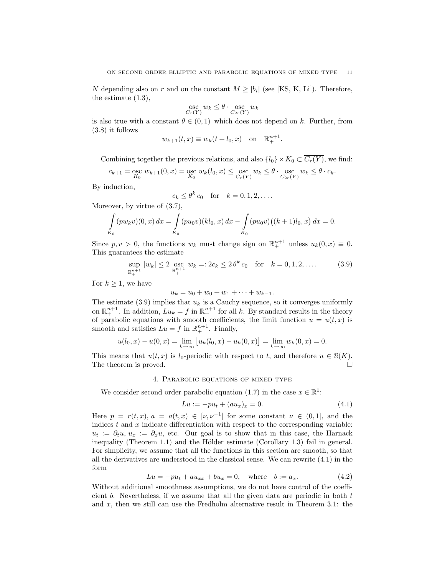N depending also on r and on the constant  $M \geq |b_i|$  (see [KS, K, Li]). Therefore, the estimate (1.3),

$$
\operatorname*{osc}_{C_r(Y)} w_k \leq \theta \cdot \operatorname*{osc}_{C_{2r}(Y)} w_k
$$

is also true with a constant  $\theta \in (0,1)$  which does not depend on k. Further, from (3.8) it follows

$$
w_{k+1}(t, x) \equiv w_k(t + l_0, x)
$$
 on  $\mathbb{R}^{n+1}_+$ .

Combining together the previous relations, and also  $\{l_0\} \times K_0 \subset \overline{C_r(Y)}$ , we find:

$$
c_{k+1} = \mathop{\rm osc}\limits_{K_0} w_{k+1}(0,x) = \mathop{\rm osc}\limits_{K_0} w_k(l_0,x) \le \mathop{\rm osc}\limits_{C_r(Y)} w_k \le \theta \cdot \mathop{\rm osc}\limits_{C_{2r}(Y)} w_k \le \theta \cdot c_k.
$$

By induction,

$$
c_k \leq \theta^k c_0 \quad \text{for} \quad k = 0, 1, 2, \dots
$$

Moreover, by virtue of  $(3.7)$ ,

$$
\int_{K_0} (pw_k v)(0, x) dx = \int_{K_0} (pu_0 v)(kl_0, x) dx - \int_{K_0} (pu_0 v)((k+1)l_0, x) dx = 0.
$$

Since  $p, v > 0$ , the functions  $w_k$  must change sign on  $\mathbb{R}^{n+1}_+$  unless  $u_k(0, x) \equiv 0$ . This guarantees the estimate

$$
\sup_{\mathbb{R}^{n+1}_+} |w_k| \le 2 \operatorname*{osc}_{\mathbb{R}^{n+1}_+} w_k =: 2c_k \le 2\,\theta^k \, c_0 \quad \text{for} \quad k = 0, 1, 2, \dots \tag{3.9}
$$

For  $k \geq 1$ , we have

$$
u_k = u_0 + w_0 + w_1 + \cdots + w_{k-1}.
$$

The estimate  $(3.9)$  implies that  $u_k$  is a Cauchy sequence, so it converges uniformly on  $\mathbb{R}^{n+1}_+$ . In addition,  $Lu_k = f$  in  $\mathbb{R}^{n+1}_+$  for all k. By standard results in the theory of parabolic equations with smooth coefficients, the limit function  $u = u(t, x)$  is smooth and satisfies  $Lu = f$  in  $\mathbb{R}^{n+1}$ . Finally,

$$
u(l_0, x) - u(0, x) = \lim_{k \to \infty} \left[ u_k(l_0, x) - u_k(0, x) \right] = \lim_{k \to \infty} w_k(0, x) = 0.
$$

This means that  $u(t, x)$  is  $l_0$ -periodic with respect to t, and therefore  $u \in \mathcal{S}(K)$ . The theorem is proved.  $\Box$ 

# 4. Parabolic equations of mixed type

We consider second order parabolic equation (1.7) in the case  $x \in \mathbb{R}^1$ :

$$
Lu := -pu_t + (au_x)_x = 0.
$$
\n(4.1)

Here  $p = r(t, x)$ ,  $a = a(t, x) \in [\nu, \nu^{-1}]$  for some constant  $\nu \in (0, 1]$ , and the indices  $t$  and  $x$  indicate differentiation with respect to the corresponding variable:  $u_t := \partial_t u, u_x := \partial_x u$ , etc. Our goal is to show that in this case, the Harnack inequality (Theorem 1.1) and the Hölder estimate (Corollary 1.3) fail in general. For simplicity, we assume that all the functions in this section are smooth, so that all the derivatives are understood in the classical sense. We can rewrite (4.1) in the form

$$
Lu = -pu_t + au_{xx} + bu_x = 0, \text{ where } b := a_x.
$$
 (4.2)

Without additional smoothness assumptions, we do not have control of the coefficient b. Nevertheless, if we assume that all the given data are periodic in both  $t$ and  $x$ , then we still can use the Fredholm alternative result in Theorem 3.1: the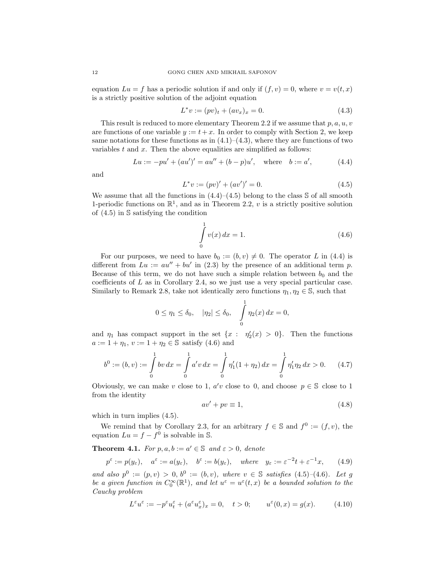equation  $Lu = f$  has a periodic solution if and only if  $(f, v) = 0$ , where  $v = v(t, x)$ is a strictly positive solution of the adjoint equation

$$
L^*v := (pv)_t + (av_x)_x = 0.
$$
\n(4.3)

This result is reduced to more elementary Theorem 2.2 if we assume that  $p, a, u, v$ are functions of one variable  $y := t + x$ . In order to comply with Section 2, we keep same notations for these functions as in  $(4.1)$ – $(4.3)$ , where they are functions of two variables  $t$  and  $x$ . Then the above equalities are simplified as follows:

$$
Lu := -pu' + (au')' = au'' + (b - p)u', \text{ where } b := a', \tag{4.4}
$$

and

$$
L^*v := (pv)' + (av')' = 0.
$$
\n(4.5)

We assume that all the functions in  $(4.4)$ – $(4.5)$  belong to the class S of all smooth 1-periodic functions on  $\mathbb{R}^1$ , and as in Theorem 2.2, v is a strictly positive solution of (4.5) in S satisfying the condition

$$
\int_{0}^{1} v(x) dx = 1.
$$
\n(4.6)

For our purposes, we need to have  $b_0 := (b, v) \neq 0$ . The operator L in (4.4) is different from  $Lu := au'' + bu'$  in (2.3) by the presence of an additional term p. Because of this term, we do not have such a simple relation between  $b_0$  and the coefficients of L as in Corollary 2.4, so we just use a very special particular case. Similarly to Remark 2.8, take not identically zero functions  $\eta_1, \eta_2 \in \mathbb{S}$ , such that

$$
0 \le \eta_1 \le \delta_0, \quad |\eta_2| \le \delta_0, \quad \int_0^1 \eta_2(x) \, dx = 0,
$$

and  $\eta_1$  has compact support in the set  $\{x : \eta_2'(x) > 0\}$ . Then the functions  $a := 1 + \eta_1, v := 1 + \eta_2 \in \mathbb{S}$  satisfy (4.6) and

$$
b^0 := (b, v) := \int_0^1 bv \, dx = \int_0^1 a'v \, dx = \int_0^1 \eta_1'(1 + \eta_2) \, dx = \int_0^1 \eta_1' \eta_2 \, dx > 0. \tag{4.7}
$$

Obviously, we can make v close to 1,  $a'v$  close to 0, and choose  $p \in \mathbb{S}$  close to 1 from the identity

$$
av' + pv \equiv 1,\tag{4.8}
$$

which in turn implies  $(4.5)$ .

We remind that by Corollary 2.3, for an arbitrary  $f \in \mathbb{S}$  and  $f^0 := (f, v)$ , the equation  $Lu = f - f^0$  is solvable in S.

**Theorem 4.1.** For  $p, a, b := a' \in \mathbb{S}$  and  $\varepsilon > 0$ , denote

 $p^{\varepsilon} := p(y_{\varepsilon}), \quad a^{\varepsilon} := a(y_{\varepsilon}), \quad b^{\varepsilon} := b(y_{\varepsilon}), \quad where \quad y_{\varepsilon} := \varepsilon^{-2}t + \varepsilon^{-1}x,$  (4.9)

and also  $p^0 := (p, v) > 0$ ,  $b^0 := (b, v)$ , where  $v \in \mathbb{S}$  satisfies (4.5)–(4.6). Let g be a given function in  $C_0^{\infty}(\mathbb{R}^1)$ , and let  $u^{\varepsilon} = u^{\varepsilon}(t,x)$  be a bounded solution to the Cauchy problem

$$
L^{\varepsilon}u^{\varepsilon}:=-p^{\varepsilon}u^{\varepsilon}_t+(a^{\varepsilon}u^{\varepsilon}_x)_x=0,\quad t>0;\qquad u^{\varepsilon}(0,x)=g(x).\eqno(4.10)
$$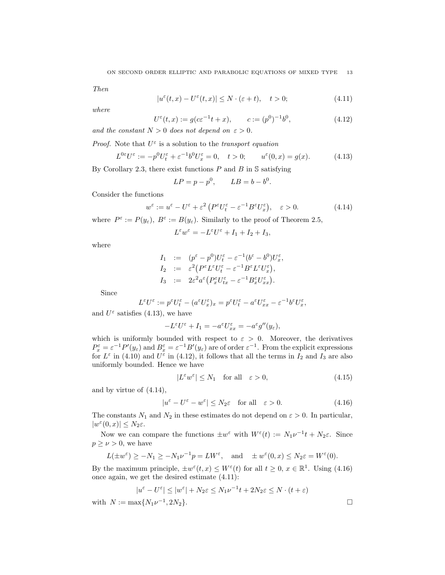Then

$$
|u^{\varepsilon}(t,x) - U^{\varepsilon}(t,x)| \le N \cdot (\varepsilon + t), \quad t > 0;
$$
\n(4.11)

where

$$
U^{\varepsilon}(t,x) := g(c\varepsilon^{-1}t + x), \qquad c := (p^0)^{-1}b^0,
$$
\n(4.12)

and the constant  $N > 0$  does not depend on  $\varepsilon > 0$ .

*Proof.* Note that  $U^{\varepsilon}$  is a solution to the transport equation

$$
L^{0\varepsilon}U^{\varepsilon} := -p^0U_t^{\varepsilon} + \varepsilon^{-1}b^0U_x^{\varepsilon} = 0, \quad t > 0; \qquad u^{\varepsilon}(0, x) = g(x). \tag{4.13}
$$

By Corollary 2.3, there exist functions  $P$  and  $B$  in  $\mathcal S$  satisfying

$$
LP = p - p^0, \qquad LB = b - b^0.
$$

Consider the functions

$$
w^{\varepsilon} := u^{\varepsilon} - U^{\varepsilon} + \varepsilon^2 \left( P^{\varepsilon} U_t^{\varepsilon} - \varepsilon^{-1} B^{\varepsilon} U_x^{\varepsilon} \right), \quad \varepsilon > 0.
$$
 (4.14)

where  $P^{\varepsilon} := P(y_{\varepsilon}), B^{\varepsilon} := B(y_{\varepsilon}).$  Similarly to the proof of Theorem 2.5,

$$
L^{\varepsilon}w^{\varepsilon}=-L^{\varepsilon}U^{\varepsilon}+I_1+I_2+I_3,
$$

where

$$
I_1 := (p^{\varepsilon} - p^0)U_t^{\varepsilon} - \varepsilon^{-1}(b^{\varepsilon} - b^0)U_x^{\varepsilon},
$$
  
\n
$$
I_2 := \varepsilon^2 (P^{\varepsilon} L^{\varepsilon} U_t^{\varepsilon} - \varepsilon^{-1} B^{\varepsilon} L^{\varepsilon} U_x^{\varepsilon}),
$$
  
\n
$$
I_3 := 2\varepsilon^2 a^{\varepsilon} (P_x^{\varepsilon} U_{tx}^{\varepsilon} - \varepsilon^{-1} B_x^{\varepsilon} U_{xx}^{\varepsilon}).
$$

Since

$$
L^{\varepsilon}U^{\varepsilon} := p^{\varepsilon}U_{t}^{\varepsilon} - (a^{\varepsilon}U_{x}^{\varepsilon})_{x} = p^{\varepsilon}U_{t}^{\varepsilon} - a^{\varepsilon}U_{xx}^{\varepsilon} - \varepsilon^{-1}b^{\varepsilon}U_{x}^{\varepsilon},
$$

and  $U^{\varepsilon}$  satisfies (4.13), we have

$$
-L^{\varepsilon}U^{\varepsilon}+I_{1}=-a^{\varepsilon}U_{xx}^{\varepsilon}=-a^{\varepsilon}g^{\prime\prime}(y_{\varepsilon}),
$$

which is uniformly bounded with respect to  $\varepsilon > 0$ . Moreover, the derivatives  $P_x^{\varepsilon} = \varepsilon^{-1} P'(y_{\varepsilon})$  and  $B_x^{\varepsilon} = \varepsilon^{-1} B'(y_{\varepsilon})$  are of order  $\varepsilon^{-1}$ . From the explicit expressions for  $L^{\varepsilon}$  in (4.10) and  $U^{\varepsilon}$  in (4.12), it follows that all the terms in  $I_2$  and  $I_3$  are also uniformly bounded. Hence we have

$$
|L^{\varepsilon}w^{\varepsilon}| \le N_1 \quad \text{for all} \quad \varepsilon > 0,
$$
\n(4.15)

and by virtue of (4.14),

$$
|u^{\varepsilon} - U^{\varepsilon} - w^{\varepsilon}| \le N_2 \varepsilon \quad \text{for all} \quad \varepsilon > 0. \tag{4.16}
$$

The constants  $N_1$  and  $N_2$  in these estimates do not depend on  $\varepsilon > 0$ . In particular,  $|w^{\varepsilon}(0,x)| \leq N_2\varepsilon.$ 

Now we can compare the functions  $\pm w^{\varepsilon}$  with  $W^{\varepsilon}(t) := N_1 \nu^{-1} t + N_2 \varepsilon$ . Since  $p \geq \nu > 0$ , we have

$$
L(\pm w^{\varepsilon}) \ge -N_1 \ge -N_1 \nu^{-1} p = LW^{\varepsilon}
$$
, and  $\pm w^{\varepsilon}(0, x) \le N_2 \varepsilon = W^{\varepsilon}(0)$ .

By the maximum principle,  $\pm w^{\varepsilon}(t,x) \leq W^{\varepsilon}(t)$  for all  $t \geq 0, x \in \mathbb{R}^{1}$ . Using (4.16) once again, we get the desired estimate (4.11):

$$
|u^{\varepsilon} - U^{\varepsilon}| \le |w^{\varepsilon}| + N_2 \varepsilon \le N_1 \nu^{-1} t + 2N_2 \varepsilon \le N \cdot (t + \varepsilon)
$$

with  $N := \max\{N_1 \nu^{-1}, 2N_2\}.$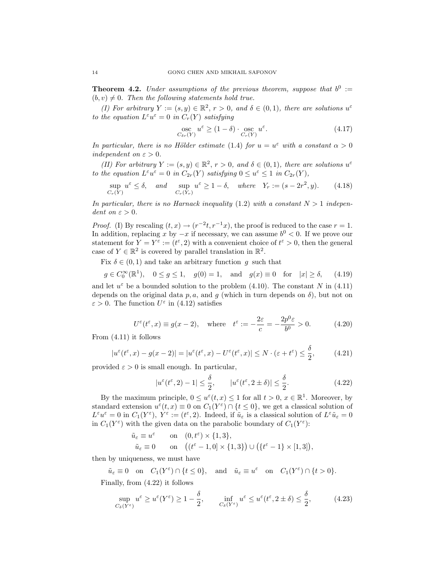**Theorem 4.2.** Under assumptions of the previous theorem, suppose that  $b^0 :=$  $(b, v) \neq 0$ . Then the following statements hold true.

(I) For arbitrary  $Y := (s, y) \in \mathbb{R}^2$ ,  $r > 0$ , and  $\delta \in (0, 1)$ , there are solutions  $u^{\varepsilon}$ to the equation  $L^{\varepsilon}u^{\varepsilon}=0$  in  $C_r(Y)$  satisfying

$$
\underset{C_{\delta r}(Y)}{\operatorname{osc}} u^{\varepsilon} \ge (1 - \delta) \cdot \underset{C_r(Y)}{\operatorname{osc}} u^{\varepsilon}.
$$
\n(4.17)

In particular, there is no Hölder estimate (1.4) for  $u = u^{\varepsilon}$  with a constant  $\alpha > 0$ independent on  $\varepsilon > 0$ .

(II) For arbitrary  $Y := (s, y) \in \mathbb{R}^2$ ,  $r > 0$ , and  $\delta \in (0, 1)$ , there are solutions  $u^{\varepsilon}$ to the equation  $L^{\varepsilon}u^{\varepsilon} = 0$  in  $C_{2r}(Y)$  satisfying  $0 \le u^{\varepsilon} \le 1$  in  $C_{2r}(Y)$ ,

$$
\sup_{C_r(Y)} u^{\varepsilon} \le \delta, \quad \text{and} \quad \sup_{C_r(Y_r)} u^{\varepsilon} \ge 1 - \delta, \quad \text{where} \quad Y_r := (s - 2r^2, y). \tag{4.18}
$$

In particular, there is no Harnack inequality (1.2) with a constant  $N > 1$  independent on  $\varepsilon > 0$ .

*Proof.* (I) By rescaling  $(t, x) \rightarrow (r^{-2}t, r^{-1}x)$ , the proof is reduced to the case  $r = 1$ . In addition, replacing x by  $-x$  if necessary, we can assume  $b^0 < 0$ . If we prove our statement for  $Y = Y^{\varepsilon} := (t^{\varepsilon}, 2)$  with a convenient choice of  $t^{\varepsilon} > 0$ , then the general case of  $Y \in \mathbb{R}^2$  is covered by parallel translation in  $\mathbb{R}^2$ .

Fix  $\delta \in (0, 1)$  and take an arbitrary function g such that

$$
g \in C_0^{\infty}(\mathbb{R}^1)
$$
,  $0 \le g \le 1$ ,  $g(0) = 1$ , and  $g(x) \equiv 0$  for  $|x| \ge \delta$ , (4.19)

and let  $u^{\varepsilon}$  be a bounded solution to the problem (4.10). The constant N in (4.11) depends on the original data p, a, and g (which in turn depends on  $\delta$ ), but not on  $\varepsilon > 0$ . The function  $U^{\varepsilon}$  in (4.12) satisfies

$$
U^{\varepsilon}(t^{\varepsilon}, x) \equiv g(x - 2), \quad \text{where} \quad t^{\varepsilon} := -\frac{2\varepsilon}{c} = -\frac{2p^0 \varepsilon}{b^0} > 0. \tag{4.20}
$$

From (4.11) it follows

$$
|u^{\varepsilon}(t^{\varepsilon},x) - g(x-2)| = |u^{\varepsilon}(t^{\varepsilon},x) - U^{\varepsilon}(t^{\varepsilon},x)| \le N \cdot (\varepsilon + t^{\varepsilon}) \le \frac{\delta}{2}, \quad (4.21)
$$

provided  $\varepsilon > 0$  is small enough. In particular,

$$
|u^{\varepsilon}(t^{\varepsilon},2) - 1| \le \frac{\delta}{2}, \qquad |u^{\varepsilon}(t^{\varepsilon},2 \pm \delta)| \le \frac{\delta}{2}.
$$
 (4.22)

By the maximum principle,  $0 \le u^{\varepsilon}(t,x) \le 1$  for all  $t > 0, x \in \mathbb{R}^1$ . Moreover, by standard extension  $u^{\varepsilon}(t,x) \equiv 0$  on  $C_1(Y^{\varepsilon}) \cap \{t \leq 0\}$ , we get a classical solution of  $L^{\varepsilon}u^{\varepsilon}=0$  in  $C_1(Y^{\varepsilon}), Y^{\varepsilon}:=(t^{\varepsilon},2)$ . Indeed, if  $\tilde{u}_{\varepsilon}$  is a classical solution of  $L^{\varepsilon}\tilde{u}_{\varepsilon}=0$ in  $C_1(Y^{\varepsilon})$  with the given data on the parabolic boundary of  $C_1(Y^{\varepsilon})$ :

$$
\begin{aligned} \tilde{u}_{\varepsilon} & \equiv u^{\varepsilon} \qquad \text{on} \quad (0, t^{\varepsilon}) \times \{1, 3\}, \\ \tilde{u}_{\varepsilon} & \equiv 0 \qquad \text{on} \quad \left((t^{\varepsilon} - 1, 0] \times \{1, 3\}\right) \cup \left(\{t^{\varepsilon} - 1\} \times [1, 3]\right), \end{aligned}
$$

then by uniqueness, we must have

 $\tilde{u}_{\varepsilon} \equiv 0 \quad \text{on} \quad C_1(Y^{\varepsilon}) \cap \{t \le 0\}, \quad \text{and} \quad \tilde{u}_{\varepsilon} \equiv u^{\varepsilon} \quad \text{on} \quad C_1(Y^{\varepsilon}) \cap \{t > 0\}.$ 

Finally, from (4.22) it follows

$$
\sup_{C_{\delta}(Y^{\varepsilon})} u^{\varepsilon} \ge u^{\varepsilon}(Y^{\varepsilon}) \ge 1 - \frac{\delta}{2}, \qquad \inf_{C_{\delta}(Y^{\varepsilon})} u^{\varepsilon} \le u^{\varepsilon}(t^{\varepsilon}, 2 \pm \delta) \le \frac{\delta}{2}, \tag{4.23}
$$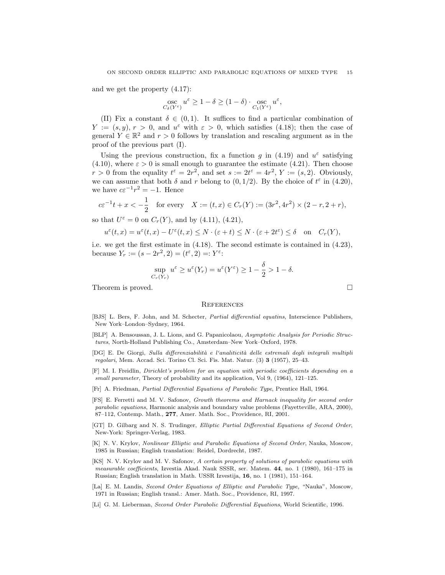and we get the property (4.17):

$$
\operatorname*{osc}_{C_{\delta}(Y^{\varepsilon})} u^{\varepsilon} \geq 1 - \delta \geq (1 - \delta) \cdot \operatorname*{osc}_{C_1(Y^{\varepsilon})} u^{\varepsilon},
$$

(II) Fix a constant  $\delta \in (0,1)$ . It suffices to find a particular combination of  $Y := (s, y), r > 0$ , and  $u^{\varepsilon}$  with  $\varepsilon > 0$ , which satisfies (4.18); then the case of general  $Y \in \mathbb{R}^2$  and  $r > 0$  follows by translation and rescaling argument as in the proof of the previous part (I).

Using the previous construction, fix a function g in (4.19) and  $u^{\varepsilon}$  satisfying (4.10), where  $\varepsilon > 0$  is small enough to guarantee the estimate (4.21). Then choose  $r > 0$  from the equality  $t^{\varepsilon} = 2r^2$ , and set  $s := 2t^{\varepsilon} = 4r^2$ ,  $Y := (s, 2)$ . Obviously, we can assume that both  $\delta$  and r belong to  $(0, 1/2)$ . By the choice of  $t^{\epsilon}$  in  $(4.20)$ , we have  $c\varepsilon^{-1}r^2 = -1$ . Hence

$$
c\varepsilon^{-1}t + x < -\frac{1}{2}
$$
 for every  $X := (t, x) \in C_r(Y) := (3r^2, 4r^2) \times (2 - r, 2 + r)$ ,

so that  $U^{\varepsilon} = 0$  on  $C_r(Y)$ , and by (4.11), (4.21),

$$
u^{\varepsilon}(t,x) = u^{\varepsilon}(t,x) - U^{\varepsilon}(t,x) \le N \cdot (\varepsilon + t) \le N \cdot (\varepsilon + 2t^{\varepsilon}) \le \delta \quad \text{on} \quad C_r(Y),
$$

i.e. we get the first estimate in (4.18). The second estimate is contained in (4.23), because  $Y_r := (s - 2r^2, 2) = (t^{\varepsilon}, 2) = Y^{\varepsilon}$ :

$$
\sup_{C_r(Y_r)} u^{\varepsilon} \ge u^{\varepsilon}(Y_r) = u^{\varepsilon}(Y^{\varepsilon}) \ge 1 - \frac{\delta}{2} > 1 - \delta.
$$

Theorem is proved.  $\Box$ 

#### **REFERENCES**

- [BJS] L. Bers, F. John, and M. Schecter, Partial differential equatins, Interscience Publishers, New York–London–Sydney, 1964.
- [BLP] A. Bensoussan, J. L. Lions, and G. Papanicolaou, Asymptotic Analysis for Periodic Structures, North-Holland Publishing Co., Amsterdam–New York–Oxford, 1978.
- [DG] E. De Giorgi, Sulla differenziabilità e l'analiticità delle estremali degli integrali multipli regolari, Mem. Accad. Sci. Torino Cl. Sci. Fis. Mat. Natur. (3) 3 (1957), 25–43.
- [F] M. I. Freidlin, Dirichlet's problem for an equation with periodic coefficients depending on a small parameter, Theory of probability and its application, Vol 9, (1964), 121–125.
- [Fr] A. Friedman, Partial Differential Equations of Parabolic Type, Prentice Hall, 1964.
- [FS] E. Ferretti and M. V. Safonov, Growth theorems and Harnack inequality for second order parabolic equations, Harmonic analysis and boundary value problems (Fayetteville, ARA, 2000), 87–112, Contemp. Math., 277, Amer. Math. Soc., Providence, RI, 2001.
- [GT] D. Gilbarg and N. S. Trudinger, Elliptic Partial Differential Equations of Second Order, New-York: Springer-Verlag, 1983.
- [K] N. V. Krylov, Nonlinear Elliptic and Parabolic Equations of Second Order, Nauka, Moscow, 1985 in Russian; English translation: Reidel, Dordrecht, 1987.
- [KS] N. V. Krylov and M. V. Safonov, A certain property of solutions of parabolic equations with measurable coefficients, Izvestia Akad. Nauk SSSR, ser. Matem. 44, no. 1 (1980), 161–175 in Russian; English translation in Math. USSR Izvestija, 16, no. 1 (1981), 151–164.
- [La] E. M. Landis, Second Order Equations of Elliptic and Parabolic Type, "Nauka", Moscow, 1971 in Russian; English transl.: Amer. Math. Soc., Providence, RI, 1997.
- [Li] G. M. Lieberman, Second Order Parabolic Differential Equations, World Scientific, 1996.